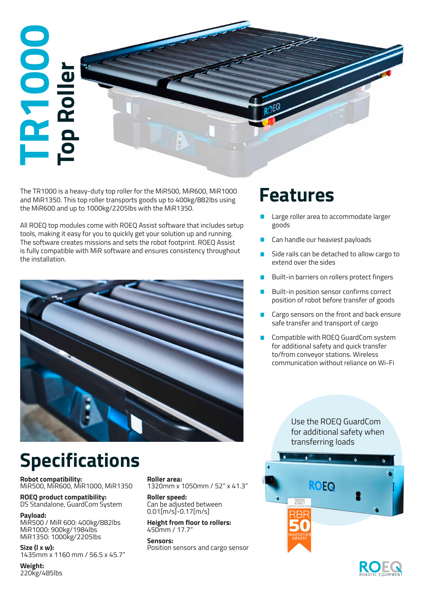# **TR1000 Top Roller** zi p

The TR1000 is a heavy-duty top roller for the MiR500, MiR600, MiR1000 **Features** the MiR600 and up to 1000kg/2205lbs with the MiR1350.

All ROEQ top modules come with ROEQ Assist software that includes setup tools, making it easy for you to quickly get your solution up and running. The software creates missions and sets the robot footprint. ROEQ Assist is fully compatible with MiR software and ensures consistency throughout the installation.



- Large roller area to accommodate larger goods
- Can handle our heaviest payloads
- Side rails can be detached to allow cargo to extend over the sides
- **Built-in barriers on rollers protect fingers**
- Built-in position sensor confirms correct position of robot before transfer of goods
- **Cargo sensors on the front and back ensure** safe transfer and transport of cargo
- Compatible with ROEQ GuardCom system for additional safety and quick transfer to/from conveyor stations. Wireless communication without reliance on Wi-Fi

### Use the ROEQ GuardCom for additional safety when transferring loads



## **Specifications**

**Robot compatibility:** MiR500, MiR600, MiR1000, MiR1350

**ROEQ product compatibility:**  DS Standalone, GuardCom System

**Payload:** MiR500 / MiR 600: 400kg/882lbs MiR1000: 900kg/1984lbs MiR1350: 1000kg/2205lbs

**Size (l x w):**  1435mm x 1160 mm / 56.5 x 45.7"

**Weight:** 220kg/485lbs **Roller area:**  1320mm x 1050mm / 52" x 41.3"

**Roller speed:** Can be adjusted between 0.01[m/s]-0.17[m/s]

**Height from floor to rollers:**  450mm / 17.7"

**Sensors:** Position sensors and cargo sensor